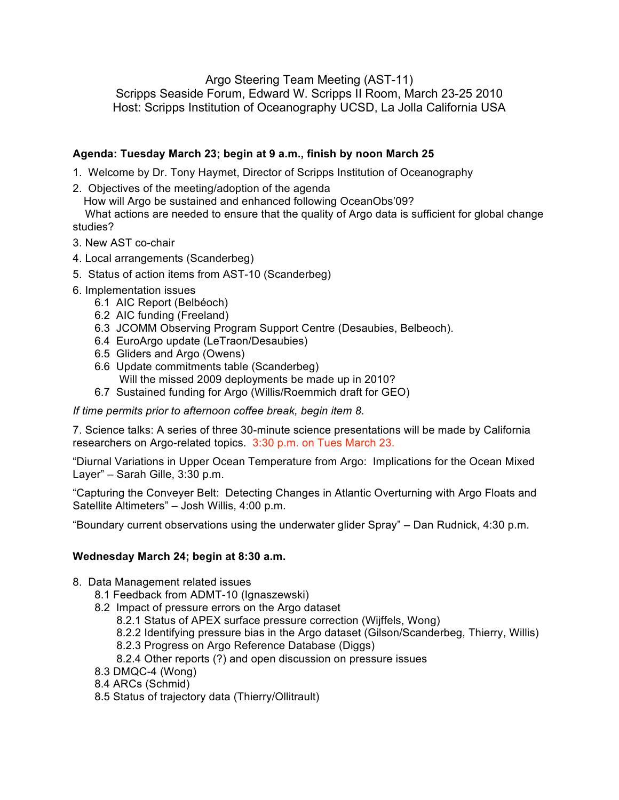Argo Steering Team Meeting (AST-11)

Scripps Seaside Forum, Edward W. Scripps II Room, March 23-25 2010 Host: Scripps Institution of Oceanography UCSD, La Jolla California USA

## **Agenda: Tuesday March 23; begin at 9 a.m., finish by noon March 25**

- 1. Welcome by Dr. Tony Haymet, Director of Scripps Institution of Oceanography
- 2. Objectives of the meeting/adoption of the agenda

How will Argo be sustained and enhanced following OceanObs'09?

What actions are needed to ensure that the quality of Argo data is sufficient for global change studies?

- 3. New AST co-chair
- 4. Local arrangements (Scanderbeg)
- 5. Status of action items from AST-10 (Scanderbeg)
- 6. Implementation issues
	- 6.1 AIC Report (Belbéoch)
	- 6.2 AIC funding (Freeland)
	- 6.3 JCOMM Observing Program Support Centre (Desaubies, Belbeoch).
	- 6.4 EuroArgo update (LeTraon/Desaubies)
	- 6.5 Gliders and Argo (Owens)
	- 6.6 Update commitments table (Scanderbeg) Will the missed 2009 deployments be made up in 2010?
	- 6.7 Sustained funding for Argo (Willis/Roemmich draft for GEO)

*If time permits prior to afternoon coffee break, begin item 8.*

7. Science talks: A series of three 30-minute science presentations will be made by California researchers on Argo-related topics. 3:30 p.m. on Tues March 23.

"Diurnal Variations in Upper Ocean Temperature from Argo: Implications for the Ocean Mixed Layer" – Sarah Gille, 3:30 p.m.

"Capturing the Conveyer Belt: Detecting Changes in Atlantic Overturning with Argo Floats and Satellite Altimeters" – Josh Willis, 4:00 p.m.

"Boundary current observations using the underwater glider Spray" – Dan Rudnick, 4:30 p.m.

## **Wednesday March 24; begin at 8:30 a.m.**

- 8. Data Management related issues
	- 8.1 Feedback from ADMT-10 (Ignaszewski)
	- 8.2 Impact of pressure errors on the Argo dataset
		- 8.2.1 Status of APEX surface pressure correction (Wijffels, Wong)
		- 8.2.2 Identifying pressure bias in the Argo dataset (Gilson/Scanderbeg, Thierry, Willis)
		- 8.2.3 Progress on Argo Reference Database (Diggs)
		- 8.2.4 Other reports (?) and open discussion on pressure issues
	- 8.3 DMQC-4 (Wong)
	- 8.4 ARCs (Schmid)
	- 8.5 Status of trajectory data (Thierry/Ollitrault)